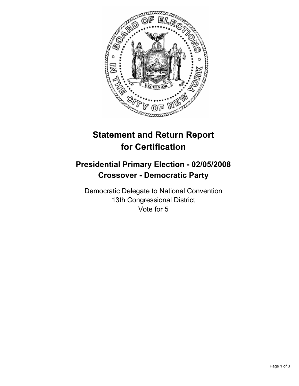

## **Statement and Return Report for Certification**

## **Presidential Primary Election - 02/05/2008 Crossover - Democratic Party**

Democratic Delegate to National Convention 13th Congressional District Vote for 5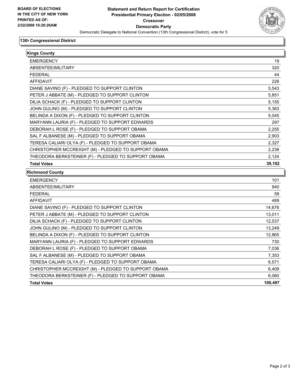

## **13th Congressional District**

| <b>Kings County</b>                                  |        |
|------------------------------------------------------|--------|
| <b>EMERGENCY</b>                                     | 19     |
| ABSENTEE/MILITARY                                    | 320    |
| <b>FEDERAL</b>                                       | 44     |
| <b>AFFIDAVIT</b>                                     | 226    |
| DIANE SAVINO (F) - PLEDGED TO SUPPORT CLINTON        | 5,543  |
| PETER J ABBATE (M) - PLEDGED TO SUPPORT CLINTON      | 5,851  |
| DILIA SCHACK (F) - PLEDGED TO SUPPORT CLINTON        | 5,155  |
| JOHN GULINO (M) - PLEDGED TO SUPPORT CLINTON         | 5,363  |
| BELINDA A DIXON (F) - PLEDGED TO SUPPORT CLINTON     | 5,045  |
| MARYANN LAURIA (F) - PLEDGED TO SUPPORT EDWARDS      | 297    |
| DEBORAH L ROSE (F) - PLEDGED TO SUPPORT OBAMA        | 2,255  |
| SAL F ALBANESE (M) - PLEDGED TO SUPPORT OBAMA        | 2,903  |
| TERESA CALIARI OLYA (F) - PLEDGED TO SUPPORT OBAMA   | 2,327  |
| CHRISTOPHER MCCREIGHT (M) - PLEDGED TO SUPPORT OBAMA | 2,239  |
| THEODORA BERKSTEINER (F) - PLEDGED TO SUPPORT OBAMA  | 2,124  |
| <b>Total Votes</b>                                   | 39,102 |
| <b>Richmond County</b>                               |        |
| <b>EMERGENCY</b>                                     | 101    |
| ABSENTEE/MILITARY                                    | 940    |
| <b>FEDERAL</b>                                       | 58     |
| <b>AFFIDAVIT</b>                                     | 489    |
| DIANE SAVINO (F) - PLEDGED TO SUPPORT CLINTON        | 14,676 |
| PETER J ABBATE (M) - PLEDGED TO SUPPORT CLINTON      | 13,011 |
| DILIA SCHACK (F) - PLEDGED TO SUPPORT CLINTON        | 12,537 |
| JOHN GULINO (M) - PLEDGED TO SUPPORT CLINTON         | 13,249 |
| BELINDA A DIXON (F) - PLEDGED TO SUPPORT CLINTON     | 12,865 |
| MARYANN LAURIA (F) - PLEDGED TO SUPPORT EDWARDS      | 730    |
| DEBORAH L ROSE (F) - PLEDGED TO SUPPORT OBAMA        | 7,036  |
| SAL F ALBANESE (M) - PLEDGED TO SUPPORT OBAMA        | 7,353  |
| TERESA CALIARI OLYA (F) - PLEDGED TO SUPPORT OBAMA   | 6,571  |
| CHRISTOPHER MCCREIGHT (M) - PLEDGED TO SUPPORT OBAMA | 6,409  |
| THEODORA BERKSTEINER (F) - PLEDGED TO SUPPORT OBAMA  | 6.060  |